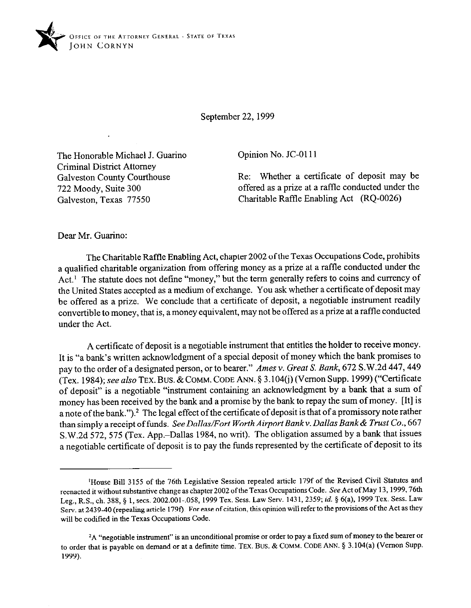

September 22, 1999

The Honorable Michael J. Guarino Criminal District Attorney Galveston County Courthouse *722* Moody, Suite 300 Galveston, Texas 77550

Opinion No. JC-0111

Re: Whether a certificate of deposit may be offered as a prize at a raffle conducted under the Charitable Raffle Enabling Act (RQ-0026)

Dear Mr. Guarino:

The Charitable Raffle Enabling Act, chapter 2002 of the Texas Occupations Code, prohibits a qualified charitable organization from offering money as a prize at a raffle conducted under the Act.<sup>1</sup> The statute does not define "money," but the term generally refers to coins and currency of the United States accepted as a medium of exchange. You ask whether a certificate of deposit may be offered as a prize. We conclude that a certificate of deposit, a negotiable instrument readily convertible to money, that is, a money equivalent, may not be offered as a prize at a raffle conducted under the Act.

A certificate of deposit is a negotiable instrument that entitles the holder to receive money. It is "a bank's written acknowledgment of a special deposit of money which the bank promises to pay to the order of a designated person, or to bearer." Ames v. Great S. Bank, 672 S.W.2d 447, 449 (Tex. 1984); see also TEX. BUS. & COMM. CODE ANN. § 3.104(j) (Vernon Supp. 1999) ("Certificate of deposit" is a negotiable "instrument containing an acknowledgment by a bank that a sum of money has been received by the bank and a promise by the bank to repay the sum of money. [It] is a note of the bank.").<sup>2</sup> The legal effect of the certificate of deposit is that of a promissory note rather than simply a receipt of funds. *See Dallas/Fort Worth Airport Bankv. Dallas Bank& Trust Co., 667*  S.W.2d 572, 575 (Tex. App.-Dallas 1984, no writ). The obligation assumed by a bank that issues a negotiable certificate of deposit is to pay the funds represented by the certificate of deposit to its

<sup>&#</sup>x27;House Bill 3155 of the 76th Legislative Session repealed article 179f of the Revised Civil Statutes and reenacted it without substantive change as chapter 2002 of the Texas Occupations Code. See Act of May 13, 1999, 76th Leg., R.S., ch. 388, 5 1, sets. 2002.001.,058, 1999 Tex. Sess. Law Serv. 1431,2359; *id. \$ 6(a),* 1999 Tex. Sess. Law Serv. at 2439-40 (repealing article 1790. For ease of citation, this opinion will refer to the provisions of the Act as they will be codified in the Texas Occupations Code.

<sup>&</sup>lt;sup>2</sup>A "negotiable instrument" is an unconditional promise or order to pay a fixed sum of money to the bearer or to order that is payable on demand or at a defmite time. TEX. BUS. & COMM. CODE ANN. 5 3.104(a) (Vernon Supp. 1999).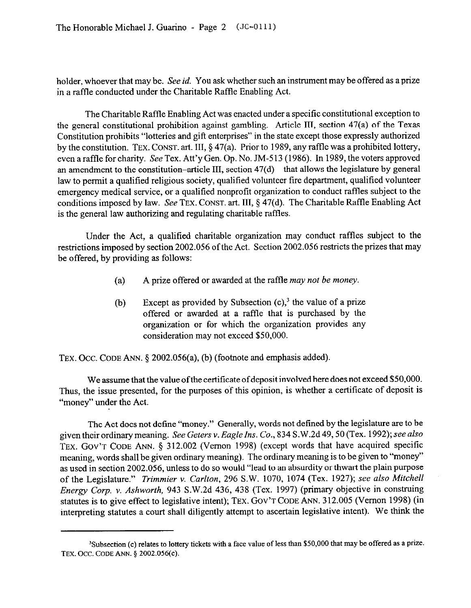holder, whoever that may be. See *id.* You ask whether such an instrument may be offered as a prize in a raffle conducted under the Charitable Raffle Enabling Act.

The Charitable Raffle Enabling Act was enacted under a specific constitutional exception to the general constitutional prohibition against gambling. Article III, section 47(a) of the Texas Constitution prohibits "lotteries and gift enterprises" in the state except those expressly authorized by the constitution. TEX. CONST. art. III, \$47(a). Prior to 1989, any raffle was a prohibited lottery, even araffle for charity. See Tex. Att'y Gen. Op. No. JM-513 (1986). In 1989, the voters approved an amendment to the constitution-article III, section  $47(d)$  - that allows the legislature by general law to permit a qualified religious society, qualified volunteer fire department, qualified volunteer emergency medical service, or a qualified nonprofit organization to conduct raffles subject to the conditions imposed by law. See TEX. CONST. art. III, § 47(d). The Charitable Raffle Enabling Act is the general law authorizing and regulating charitable raffles.

Under the Act, a qualified charitable organization may conduct raffles subject to the restrictions imposed by section 2002.056 of the Act. Section 2002.056 restricts the prizes that may be offered, by providing as follows:

- (4 A prize offered or awarded at the raffle may *not be money.*
- (b) Except as provided by Subsection  $(c)$ ,<sup>3</sup> the value of a prize offered or awarded at a raffle that is purchased by the organization or for which the organization provides any consideration may not exceed \$50,000.

TEX. OCC. CODE ANN. § 2002.056(a), (b) (footnote and emphasis added).

We assume that the value of the certificate of deposit involved here does not exceed \$50,000. Thus, the issue presented, for the purposes of this opinion, is whether a certificate of deposit is "money" under the Act.

The Act does not define "money." Generally, words not defined by the legislature are to be given their ordinary meaning. See *Geters v. Eagle Ins. Co., 834* S.W.2d 49,50 (Tex. 1992); see *also*  TEX. GOV'T CODE ANN. § 312.002 (Vernon 1998) (except words that have acquired specific meaning, words shall be given ordinary meaning). The ordinary meaning is to be given to "money" as used in section 2002.056, unless to do so would "lead to an absurdity or thwart the plain purpose of the Legislature." *Trimmier v. Carlton, 296* S.W. *1070,* 1074 (Tex. 1927); *see also Mitchell Energy Corp. v. Ashworth,* 943 S.W.2d 436, 438 (Tex. 1997) (primary objective in construing statutes is to give effect to legislative intent); TEX. GOV'T CODE ANN. 312.005 (Vernon 1998) (in interpreting statutes a court shall diligently attempt to ascertain legislative intent). We think the

<sup>&#</sup>x27;Subsection (c) relates to lottery tickets with a face value of less than \$50,000 that may be offered as a prize. TEX. OCC. CODE ANN. § 2002.056(c).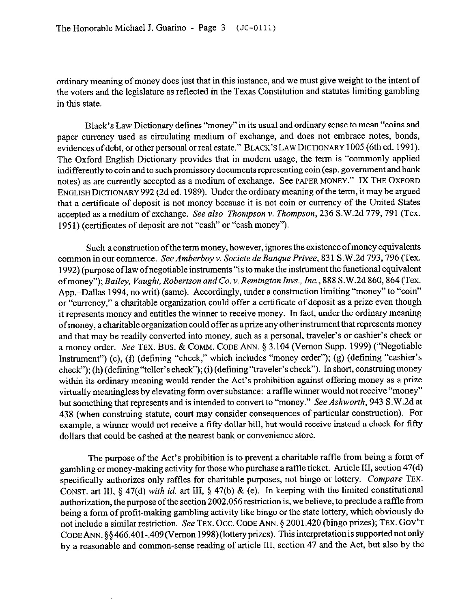ordinary meaning of money does just that in this instance, and we must give weight to the intent of the voters and the legislature as reflected in the Texas Constitution and statutes limiting gambling in this state.

Black's Law Dictionary defines "money" in its usual and ordinary sense to mean "coins and paper currency used as circulating medium of exchange, and does not embrace notes, bonds, evidences of debt, or other personal or real estate." BLACK'S LAW DICTIONARY 1005 (6th ed. 1991). The Oxford English Dictionary provides that in modem usage, the term is "commonly applied indifferently to coin and to such promissory documents representing coin (esp. government andbank notes) as are currently accepted as a medium of exchange. See PAPER MONEY." IX THE OXFORD ENGLISH DICTIONARY 992 (2d ed. 1989). Under the ordinary meaning of the term, it may be argued that a certificate of deposit is not money because it is not coin or currency of the United States accepted as a medium of exchange. *See also Thompson v. Thompson, 236* S.W.2d 779,791 (Tex. 195 1) (certificates of deposit are not "cash" or "cash money").

Such a construction ofthe term money, however, ignores the existence ofmoney equivalents common in our commerce. *See Amberboy v. Societe de Banque Privee*, 831 S.W.2d 793, 796 (Tex. 1992) (purpose of law ofnegotiable instruments "is to make the instrument the fimctional equivalent of money"); *Bailey, Vaught, Robertson and Co. v. Remington Invs., Inc.*, 888 S.W.2d 860, 864 (Tex. App.-Dallas 1994, no writ) (same). Accordingly, under a construction limiting "money" to "coin" or "currency," a charitable organization could offer a certificate of deposit as a prize even though it represents money and entitles the winner to receive money. In fact, under the ordinary meaning of money, a charitable organization could offer as a prize any other instrument that represents money and that may be readily converted into money, such as a personal, traveler's or cashier's check or a money order. See TEX. Bus. & COMM. CODE ANN. 5 3.104 (Vernon Supp. 1999) ("Negotiable Instrument") (c), (f) (defining "check," which includes "money order"); (g) (defining "cashier's check"); (h) (defining "teller's check"); (i) (defining "traveler's check"). In short, construing money within its ordinary meaning would render the Act's prohibition against offering money as a prize virtually meaningless by elevating form over substance: a raffle winner would not receive "money" but something that represents and is intended to convert to "money." *See Ashworth, 943* S.W.2d at 438 (when construing statute, court may consider consequences of particular construction). For example, a winner would not receive a fifty dollar bill, but would receive instead a check for fifty dollars that could be cashed at the nearest bank or convenience store.

The purpose of the Act's prohibition is to prevent a charitable raffle from being a form of gambling or money-making activity for those who purchase a raffle ticket. Article III, section 47(d) specifically authorizes only raffles for charitable purposes, not bingo or lottery. Compare TEX. CONST. art III, *5* 47(d) *with id.* art III, 5 47(b) & (e). In keeping with the limited constitutional authorization, the purpose of the section 2002.056 restriction is, we believe, to preclude a raffle from being a form of profit-making gambling activity like bingo or the state lottery, which obviously do not include a similar restriction. See TEX. Occ. CODE ANN. § 2001.420 (bingo prizes); TEX. GOV'T CODE ANN. §§466.401-.409 (Vernon 1998) (lottery prizes). This interpretation is supported not only by a reasonable and common-sense reading of article III, section 47 and the Act, but also by the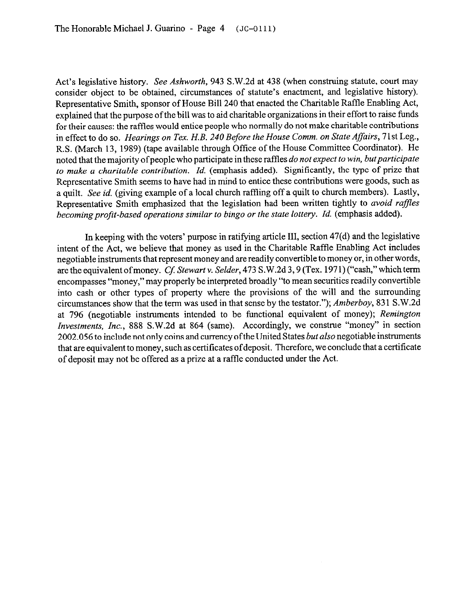Act's legislative history. *See Ashworth,* 943 S.W.2d at 438 (when construing statute, court may consider object to be obtained, circumstances of statute's enactment, and legislative history). Representative Smith, sponsor of House Bill 240 that enacted the Charitable Raffle Enabling Act, explained that the purpose of the bill was to aid charitable organizations in their effort to raise funds for their causes: the raffles would entice people who normally do not make charitable contributions in effect to do so. Hearings on Tex. H.B. 240 Before the House Comm. on State Affairs, 71st Leg., R.S. (March 13, 1989) (tape available through Office of the House Committee Coordinator). He noted that the majority of people who participate in these raffles *do not expect to win, but participate to make a charitable contribution. Id.* (emphasis added). Significantly, the type of prize that Representative Smith seems to have had in mind to entice these contributions were goods, such as a quilt. See *id.* (giving example of a local church raftling off a quilt to church members). Lastly, Representative Smith emphasized that the legislation had been written tightly to *avoid raffles*  becoming profit-based operations similar to bingo or the state lottery. Id. (emphasis added).

In keeping with the voters' purpose in ratifying article III, section 47(d) and the legislative intent of the Act, we believe that money as used in the Charitable Raffle Enabling Act includes negotiable instruments that represent money and are readily convertible to money or, in other words, are the equivalent of money. *Cf. Stewart v. Selder*, 473 S.W.2d 3, 9 (Tex. 1971) ("cash," which term encompasses "money," may properly be interpreted broadly "to mean securities readily convertible into cash or other types of property where the provisions of the will and the surrounding circumstances show that the term was used in that sense by the testator."); *Amberboy,* 831 S.W.2d at 796 (negotiable instruments intended to be functional equivalent of money); *Remington Investments,* Inc., 888 S.W.2d at 864 (same). Accordingly, we construe "money" in section 2002.056 to include not only coins and currency of the United States *but also* negotiable instruments that are equivalent to money, such as certificates ofdeposit. Therefore, we conclude that a certificate of deposit may not be offered as a prize at a raffle conducted under the Act.